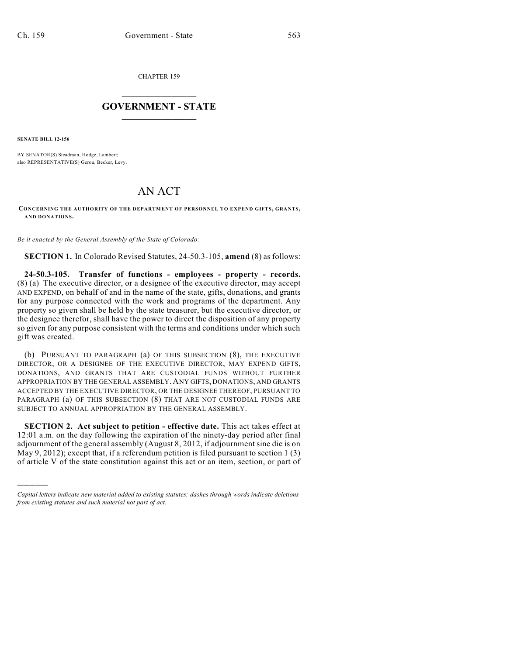CHAPTER 159

## $\overline{\phantom{a}}$  . The set of the set of the set of the set of the set of the set of the set of the set of the set of the set of the set of the set of the set of the set of the set of the set of the set of the set of the set o **GOVERNMENT - STATE**  $\_$

**SENATE BILL 12-156**

)))))

BY SENATOR(S) Steadman, Hodge, Lambert; also REPRESENTATIVE(S) Gerou, Becker, Levy.

## AN ACT

**CONCERNING THE AUTHORITY OF THE DEPARTMENT OF PERSONNEL TO EXPEND GIFTS, GRANTS, AND DONATIONS.**

*Be it enacted by the General Assembly of the State of Colorado:*

**SECTION 1.** In Colorado Revised Statutes, 24-50.3-105, **amend** (8) as follows:

**24-50.3-105. Transfer of functions - employees - property - records.** (8) (a) The executive director, or a designee of the executive director, may accept AND EXPEND, on behalf of and in the name of the state, gifts, donations, and grants for any purpose connected with the work and programs of the department. Any property so given shall be held by the state treasurer, but the executive director, or the designee therefor, shall have the power to direct the disposition of any property so given for any purpose consistent with the terms and conditions under which such gift was created.

(b) PURSUANT TO PARAGRAPH (a) OF THIS SUBSECTION (8), THE EXECUTIVE DIRECTOR, OR A DESIGNEE OF THE EXECUTIVE DIRECTOR, MAY EXPEND GIFTS, DONATIONS, AND GRANTS THAT ARE CUSTODIAL FUNDS WITHOUT FURTHER APPROPRIATION BY THE GENERAL ASSEMBLY. ANY GIFTS, DONATIONS, AND GRANTS ACCEPTED BY THE EXECUTIVE DIRECTOR, OR THE DESIGNEE THEREOF, PURSUANT TO PARAGRAPH (a) OF THIS SUBSECTION (8) THAT ARE NOT CUSTODIAL FUNDS ARE SUBJECT TO ANNUAL APPROPRIATION BY THE GENERAL ASSEMBLY.

**SECTION 2. Act subject to petition - effective date.** This act takes effect at 12:01 a.m. on the day following the expiration of the ninety-day period after final adjournment of the general assembly (August 8, 2012, if adjournment sine die is on May 9, 2012); except that, if a referendum petition is filed pursuant to section 1 (3) of article V of the state constitution against this act or an item, section, or part of

*Capital letters indicate new material added to existing statutes; dashes through words indicate deletions from existing statutes and such material not part of act.*